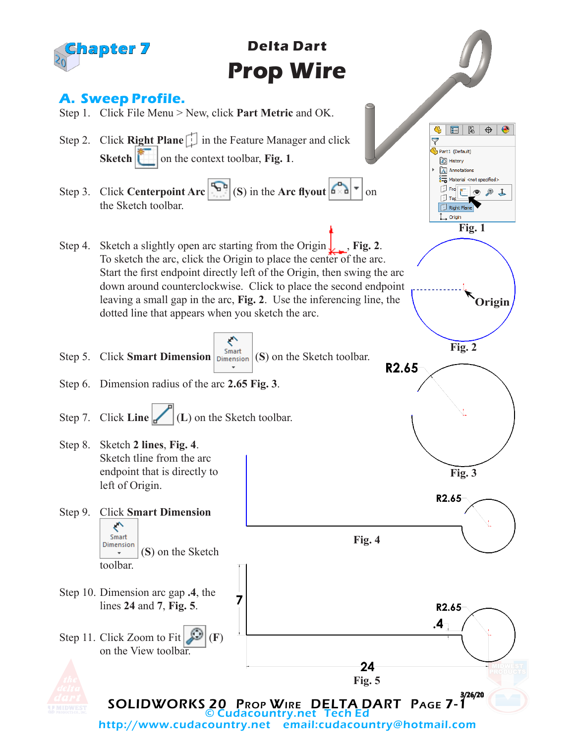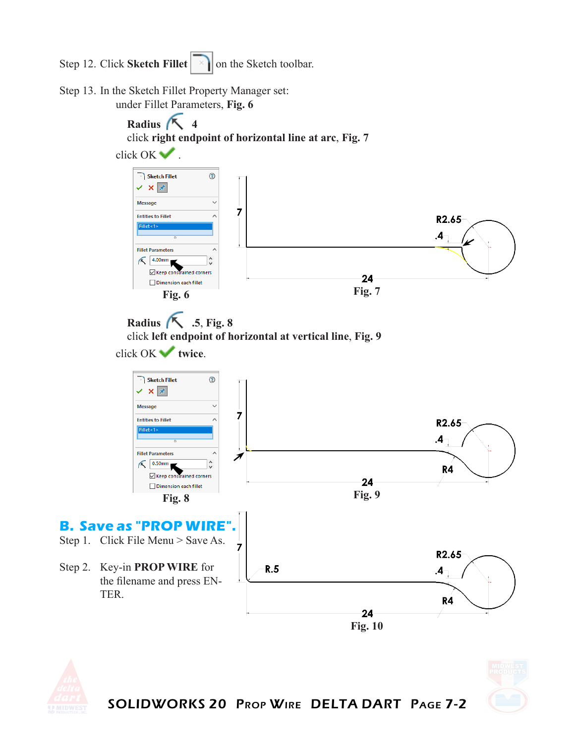Step 12. Click **Sketch Fillet on** the Sketch toolbar.

Step 13. In the Sketch Fillet Property Manager set: under Fillet Parameters, **Fig. 6**





SOLIDWORKS 20 Prop Wire DELTA DART Page 7-2